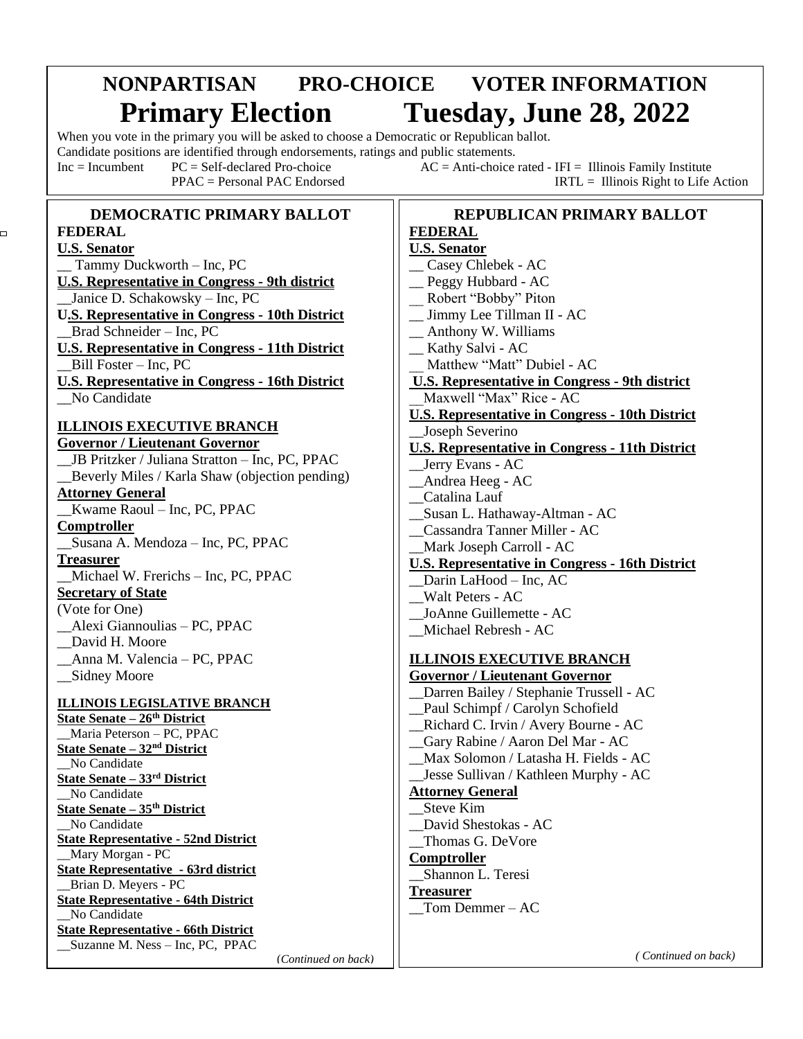# **NONPARTISAN PRO-CHOICE VOTER INFORMATION Primary Election Tuesday, June 28, 2022**

When you vote in the primary you will be asked to choose a Democratic or Republican ballot.

Candidate positions are identified through endorsements, ratings and public statements.

ׇ֖֖֚֚֬֕

 $\Box$ 

Inc = Incumbent  $PC = Self-declared Pro-choice$   $AC = Anti-choice \nvert T = Illinois Family Institute$ PPAC = Personal PAC Endorsed IRTL = Illinois Right to Life Action

#### **DEMOCRATIC PRIMARY BALLOT FEDERAL U.S. Senator** \_\_ Tammy Duckworth – Inc, PC **U.S. Representative in Congress - 9th district** \_\_Janice D. Schakowsky – Inc, PC **U.S. Representative in Congress - 10th District** \_\_Brad Schneider – Inc, PC **U.S. Representative in Congress - 11th District** \_\_Bill Foster – Inc, PC **U.S. Representative in Congress - 16th District** No Candidate **ILLINOIS EXECUTIVE BRANCH Governor / Lieutenant Governor** \_\_JB Pritzker / Juliana Stratton – Inc, PC, PPAC \_\_Beverly Miles / Karla Shaw (objection pending) **Attorney General** \_\_Kwame Raoul – Inc, PC, PPAC **Comptroller** \_\_Susana A. Mendoza – Inc, PC, PPAC **Treasurer** \_\_Michael W. Frerichs – Inc, PC, PPAC **Secretary of State** (Vote for One) \_\_Alexi Giannoulias – PC, PPAC \_\_David H. Moore \_\_Anna M. Valencia – PC, PPAC \_\_Sidney Moore **ILLINOIS LEGISLATIVE BRANCH State Senate – 26th District** \_\_Maria Peterson – PC, PPAC **State Senate – 32nd District** No Candidate **State Senate – 33rd District** No Candidate **State Senate – 35th District** No Candidate **State Representative - 52nd District** \_\_Mary Morgan - PC **State Representative - 63rd district** \_\_Brian D. Meyers - PC **State Representative - 64th District** No Candidate **State Representative - 66th District** \_\_Suzanne M. Ness – Inc, PC, PPAC

#### **REPUBLICAN PRIMARY BALLOT FEDERAL U.S. Senator** \_\_ Casey Chlebek - AC \_\_ Peggy Hubbard - AC Robert "Bobby" Piton \_\_ Jimmy Lee Tillman II - AC \_\_ Anthony W. Williams \_\_ Kathy Salvi - AC Matthew "Matt" Dubiel - AC **U.S. Representative in Congress - 9th district** \_\_Maxwell "Max" Rice - AC **U.S. Representative in Congress - 10th District** \_\_Joseph Severino **U.S. Representative in Congress - 11th District** \_\_Jerry Evans - AC \_\_Andrea Heeg - AC \_\_Catalina Lauf \_\_Susan L. Hathaway-Altman - AC \_\_Cassandra Tanner Miller - AC \_\_Mark Joseph Carroll - AC **U.S. Representative in Congress - 16th District** \_\_Darin LaHood – Inc, AC \_\_Walt Peters - AC \_\_JoAnne Guillemette - AC \_\_Michael Rebresh - AC **ILLINOIS EXECUTIVE BRANCH Governor / Lieutenant Governor** \_\_Darren Bailey / Stephanie Trussell - AC \_\_Paul Schimpf / Carolyn Schofield \_\_Richard C. Irvin / Avery Bourne - AC \_\_Gary Rabine / Aaron Del Mar - AC \_\_Max Solomon / Latasha H. Fields - AC \_\_Jesse Sullivan / Kathleen Murphy - AC **Attorney General** Steve Kim \_\_David Shestokas - AC \_\_Thomas G. DeVore **Comptroller** \_\_Shannon L. Teresi **Treasurer**  $_$  Tom Demmer – AC

 *( Continued on back)*